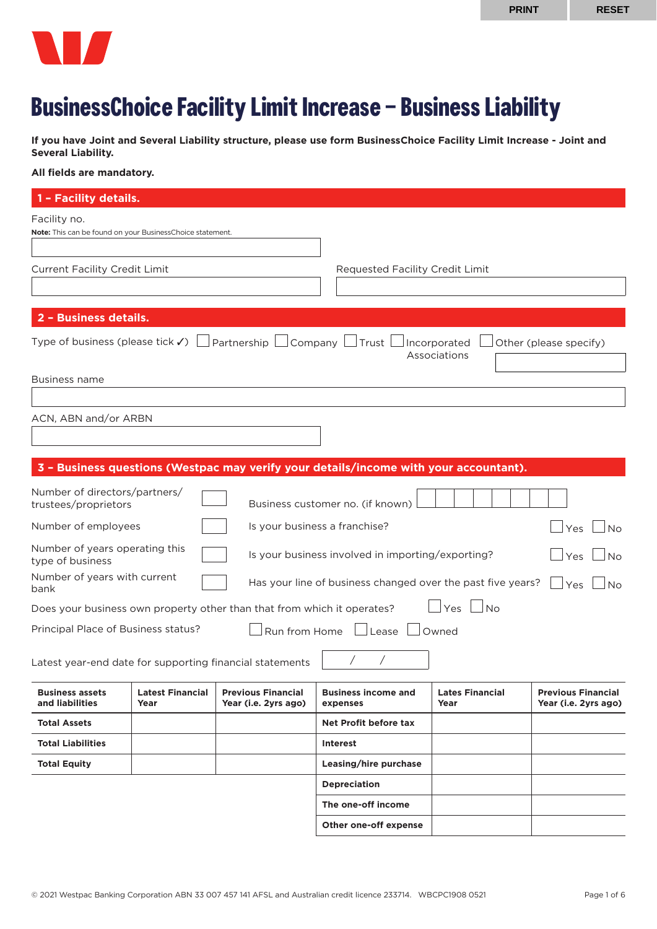

# **BusinessChoice Facility Limit Increase – Business Liability**

**If you have Joint and Several Liability structure, please use form BusinessChoice Facility Limit Increase - Joint and Several Liability.** 

#### **All fields are mandatory.**

| 1 - Facility details.                                                                                                                                     |                                                                         |                                                   |                                                                                       |                                |                                                   |  |
|-----------------------------------------------------------------------------------------------------------------------------------------------------------|-------------------------------------------------------------------------|---------------------------------------------------|---------------------------------------------------------------------------------------|--------------------------------|---------------------------------------------------|--|
| Facility no.<br>Note: This can be found on your BusinessChoice statement.                                                                                 |                                                                         |                                                   |                                                                                       |                                |                                                   |  |
|                                                                                                                                                           | <b>Current Facility Credit Limit</b><br>Requested Facility Credit Limit |                                                   |                                                                                       |                                |                                                   |  |
| 2 - Business details.                                                                                                                                     |                                                                         |                                                   |                                                                                       |                                |                                                   |  |
| Type of business (please tick $\checkmark$ ) $\Box$ Partnership $\Box$ Company $\Box$ Trust $\Box$ Incorporated<br>Other (please specify)<br>Associations |                                                                         |                                                   |                                                                                       |                                |                                                   |  |
| Business name                                                                                                                                             |                                                                         |                                                   |                                                                                       |                                |                                                   |  |
| ACN, ABN and/or ARBN                                                                                                                                      |                                                                         |                                                   |                                                                                       |                                |                                                   |  |
|                                                                                                                                                           |                                                                         |                                                   | 3 - Business questions (Westpac may verify your details/income with your accountant). |                                |                                                   |  |
| Number of directors/partners/<br>trustees/proprietors                                                                                                     |                                                                         |                                                   | Business customer no. (if known)                                                      |                                |                                                   |  |
| Number of employees                                                                                                                                       |                                                                         |                                                   | Is your business a franchise?                                                         |                                | Yes<br><b>No</b>                                  |  |
| Number of years operating this<br>type of business                                                                                                        |                                                                         |                                                   | Is your business involved in importing/exporting?                                     |                                | $\exists$ Yes<br><b>No</b>                        |  |
| Number of years with current<br>Has your line of business changed over the past five years?<br>Yes<br>No<br>bank                                          |                                                                         |                                                   |                                                                                       |                                |                                                   |  |
| Yes<br>$\overline{\phantom{a}}$ No<br>Does your business own property other than that from which it operates?                                             |                                                                         |                                                   |                                                                                       |                                |                                                   |  |
| Principal Place of Business status?<br>Run from Home<br>Lease<br>Owned                                                                                    |                                                                         |                                                   |                                                                                       |                                |                                                   |  |
| $\prime$<br>Latest year-end date for supporting financial statements                                                                                      |                                                                         |                                                   |                                                                                       |                                |                                                   |  |
| <b>Business assets</b><br>and liabilities                                                                                                                 | <b>Latest Financial</b><br>Year                                         | <b>Previous Financial</b><br>Year (i.e. 2yrs ago) | <b>Business income and</b><br>expenses                                                | <b>Lates Financial</b><br>Year | <b>Previous Financial</b><br>Year (i.e. 2yrs ago) |  |
| <b>Total Assets</b>                                                                                                                                       |                                                                         |                                                   | Net Profit before tax                                                                 |                                |                                                   |  |
| <b>Total Liabilities</b>                                                                                                                                  |                                                                         |                                                   | <b>Interest</b>                                                                       |                                |                                                   |  |
| <b>Total Equity</b>                                                                                                                                       |                                                                         |                                                   | Leasing/hire purchase                                                                 |                                |                                                   |  |
|                                                                                                                                                           |                                                                         |                                                   | <b>Depreciation</b>                                                                   |                                |                                                   |  |
|                                                                                                                                                           |                                                                         |                                                   | The one-off income                                                                    |                                |                                                   |  |
|                                                                                                                                                           |                                                                         |                                                   | Other one-off expense                                                                 |                                |                                                   |  |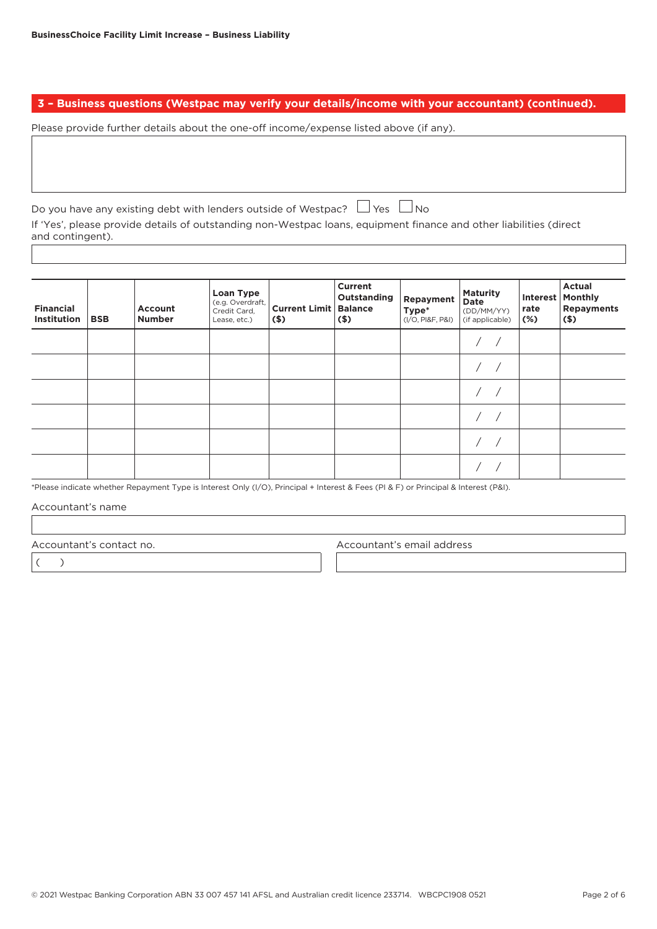**3 – Business questions (Westpac may verify your details/income with your accountant) (continued).**

Please provide further details about the one-off income/expense listed above (if any).

Do you have any existing debt with lenders outside of Westpac?  $\Box$  Yes  $\Box$  No If 'Yes', please provide details of outstanding non-Westpac loans, equipment finance and other liabilities (direct and contingent).

| <b>Financial</b><br><b>Institution</b> | <b>BSB</b> | <b>Account</b><br><b>Number</b> | Loan Type<br>(e.g. Overdraft,<br>Credit Card,<br>Lease, etc.) | <b>Current Limit</b><br>$($ \$) | <b>Current</b><br>Outstanding<br><b>Balance</b><br>$($ \$) | Repayment<br>Type*<br>(I/O, PI&F, P&I) | <b>Maturity</b><br>Date<br>(DD/MM/YY)<br>(if applicable) | <b>Interest</b><br>rate<br>$(\%)$ | <b>Actual</b><br><b>Monthly</b><br><b>Repayments</b><br>$($ \$) |
|----------------------------------------|------------|---------------------------------|---------------------------------------------------------------|---------------------------------|------------------------------------------------------------|----------------------------------------|----------------------------------------------------------|-----------------------------------|-----------------------------------------------------------------|
|                                        |            |                                 |                                                               |                                 |                                                            |                                        |                                                          |                                   |                                                                 |
|                                        |            |                                 |                                                               |                                 |                                                            |                                        |                                                          |                                   |                                                                 |
|                                        |            |                                 |                                                               |                                 |                                                            |                                        |                                                          |                                   |                                                                 |
|                                        |            |                                 |                                                               |                                 |                                                            |                                        |                                                          |                                   |                                                                 |
|                                        |            |                                 |                                                               |                                 |                                                            |                                        |                                                          |                                   |                                                                 |
|                                        |            |                                 |                                                               |                                 |                                                            |                                        |                                                          |                                   |                                                                 |

\*Please indicate whether Repayment Type is Interest Only (I/O), Principal + Interest & Fees (PI & F) or Principal & Interest (P&I).

Accountant's name

Accountant's contact no. Accountant's email address

 $($   $)$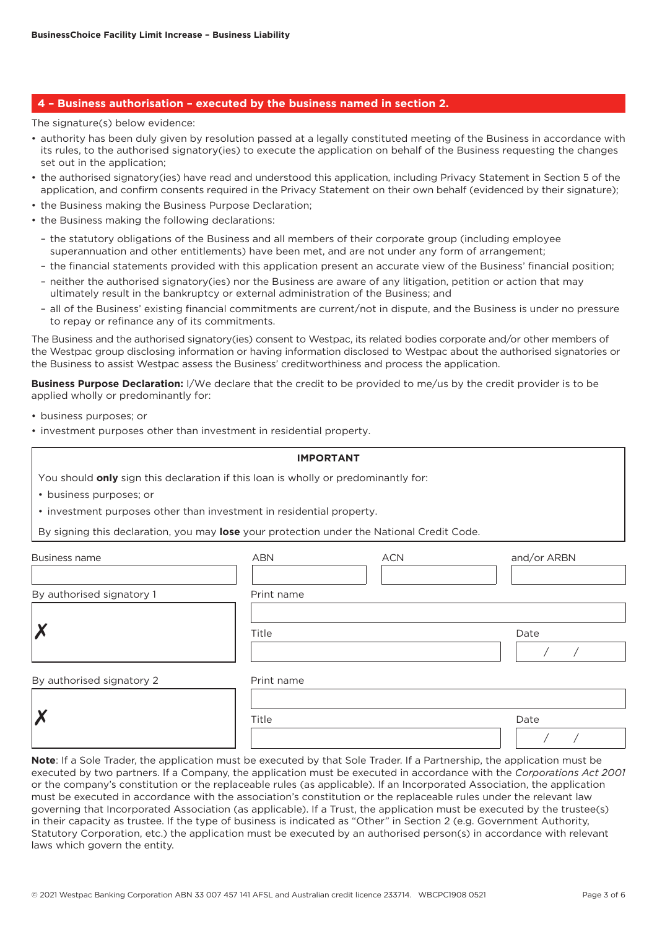## **4 – Business authorisation – executed by the business named in section 2.**

The signature(s) below evidence:

- authority has been duly given by resolution passed at a legally constituted meeting of the Business in accordance with its rules, to the authorised signatory(ies) to execute the application on behalf of the Business requesting the changes set out in the application;
- the authorised signatory(ies) have read and understood this application, including Privacy Statement in Section 5 of the application, and confirm consents required in the Privacy Statement on their own behalf (evidenced by their signature);
- the Business making the Business Purpose Declaration;
- the Business making the following declarations:
	- the statutory obligations of the Business and all members of their corporate group (including employee superannuation and other entitlements) have been met, and are not under any form of arrangement;
	- the financial statements provided with this application present an accurate view of the Business' financial position;
	- neither the authorised signatory(ies) nor the Business are aware of any litigation, petition or action that may ultimately result in the bankruptcy or external administration of the Business; and
	- all of the Business' existing financial commitments are current/not in dispute, and the Business is under no pressure to repay or refinance any of its commitments.

The Business and the authorised signatory(ies) consent to Westpac, its related bodies corporate and/or other members of the Westpac group disclosing information or having information disclosed to Westpac about the authorised signatories or the Business to assist Westpac assess the Business' creditworthiness and process the application.

**Business Purpose Declaration:** I/We declare that the credit to be provided to me/us by the credit provider is to be applied wholly or predominantly for:

- business purposes; or
- investment purposes other than investment in residential property.

| <b>IMPORTANT</b> |  |  |  |  |  |
|------------------|--|--|--|--|--|
|------------------|--|--|--|--|--|

You should **only** sign this declaration if this loan is wholly or predominantly for:

- business purposes; or
- investment purposes other than investment in residential property.

By signing this declaration, you may **lose** your protection under the National Credit Code.

| <b>Business name</b>      | <b>ABN</b> | <b>ACN</b> | and/or ARBN |
|---------------------------|------------|------------|-------------|
| By authorised signatory 1 | Print name |            |             |
|                           | Title      |            | Date        |
| By authorised signatory 2 | Print name |            |             |
| M<br>∕                    | Title      |            | Date        |

**Note**: If a Sole Trader, the application must be executed by that Sole Trader. If a Partnership, the application must be executed by two partners. If a Company, the application must be executed in accordance with the *Corporations Act 2001* or the company's constitution or the replaceable rules (as applicable). If an Incorporated Association, the application must be executed in accordance with the association's constitution or the replaceable rules under the relevant law governing that Incorporated Association (as applicable). If a Trust, the application must be executed by the trustee(s) in their capacity as trustee. If the type of business is indicated as "Other" in Section 2 (e.g. Government Authority, Statutory Corporation, etc.) the application must be executed by an authorised person(s) in accordance with relevant laws which govern the entity.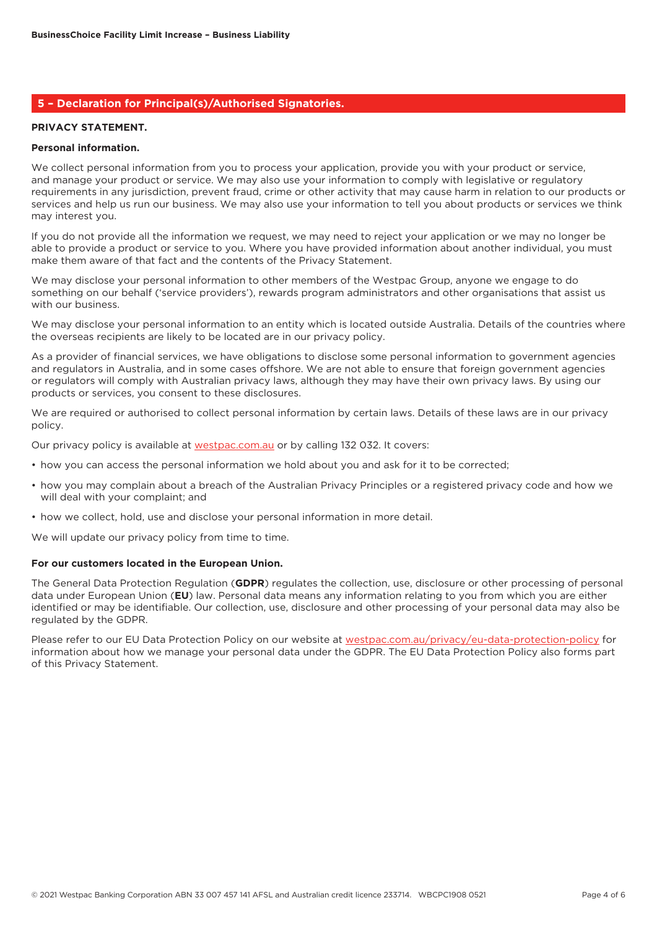## **5 – Declaration for Principal(s)/Authorised Signatories.**

### **PRIVACY STATEMENT.**

#### **Personal information.**

We collect personal information from you to process your application, provide you with your product or service, and manage your product or service. We may also use your information to comply with legislative or regulatory requirements in any jurisdiction, prevent fraud, crime or other activity that may cause harm in relation to our products or services and help us run our business. We may also use your information to tell you about products or services we think may interest you.

If you do not provide all the information we request, we may need to reject your application or we may no longer be able to provide a product or service to you. Where you have provided information about another individual, you must make them aware of that fact and the contents of the Privacy Statement.

We may disclose your personal information to other members of the Westpac Group, anyone we engage to do something on our behalf ('service providers'), rewards program administrators and other organisations that assist us with our business.

We may disclose your personal information to an entity which is located outside Australia. Details of the countries where the overseas recipients are likely to be located are in our privacy policy.

As a provider of financial services, we have obligations to disclose some personal information to government agencies and regulators in Australia, and in some cases offshore. We are not able to ensure that foreign government agencies or regulators will comply with Australian privacy laws, although they may have their own privacy laws. By using our products or services, you consent to these disclosures.

We are required or authorised to collect personal information by certain laws. Details of these laws are in our privacy policy.

Our privacy policy is available at [westpac.com.au](http://westpac.com.au) or by calling 132 032. It covers:

- how you can access the personal information we hold about you and ask for it to be corrected;
- how you may complain about a breach of the Australian Privacy Principles or a registered privacy code and how we will deal with your complaint; and
- how we collect, hold, use and disclose your personal information in more detail.

We will update our privacy policy from time to time.

#### **For our customers located in the European Union.**

The General Data Protection Regulation (**GDPR**) regulates the collection, use, disclosure or other processing of personal data under European Union (**EU**) law. Personal data means any information relating to you from which you are either identified or may be identifiable. Our collection, use, disclosure and other processing of your personal data may also be regulated by the GDPR.

Please refer to our EU Data Protection Policy on our website at [westpac.com.au/privacy/eu-data-protection-policy](http://westpac.com.au/privacy/eu-data-protection-policy) for information about how we manage your personal data under the GDPR. The EU Data Protection Policy also forms part of this Privacy Statement.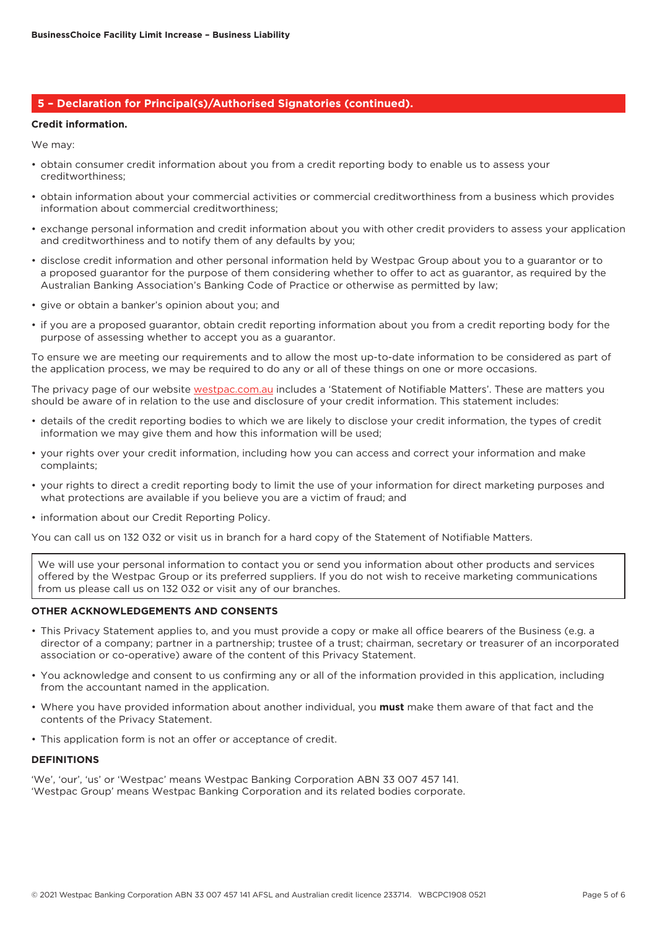## **5 – Declaration for Principal(s)/Authorised Signatories (continued).**

#### **Credit information.**

We may:

- obtain consumer credit information about you from a credit reporting body to enable us to assess your creditworthiness;
- obtain information about your commercial activities or commercial creditworthiness from a business which provides information about commercial creditworthiness;
- exchange personal information and credit information about you with other credit providers to assess your application and creditworthiness and to notify them of any defaults by you;
- disclose credit information and other personal information held by Westpac Group about you to a guarantor or to a proposed guarantor for the purpose of them considering whether to offer to act as guarantor, as required by the Australian Banking Association's Banking Code of Practice or otherwise as permitted by law;
- give or obtain a banker's opinion about you; and
- if you are a proposed guarantor, obtain credit reporting information about you from a credit reporting body for the purpose of assessing whether to accept you as a guarantor.

To ensure we are meeting our requirements and to allow the most up-to-date information to be considered as part of the application process, we may be required to do any or all of these things on one or more occasions.

The privacy page of our website [westpac.com.au](http://westpac.com.au) includes a 'Statement of Notifiable Matters'. These are matters you should be aware of in relation to the use and disclosure of your credit information. This statement includes:

- details of the credit reporting bodies to which we are likely to disclose your credit information, the types of credit information we may give them and how this information will be used;
- your rights over your credit information, including how you can access and correct your information and make complaints;
- your rights to direct a credit reporting body to limit the use of your information for direct marketing purposes and what protections are available if you believe you are a victim of fraud; and
- information about our Credit Reporting Policy.

You can call us on 132 032 or visit us in branch for a hard copy of the Statement of Notifiable Matters.

We will use your personal information to contact you or send you information about other products and services offered by the Westpac Group or its preferred suppliers. If you do not wish to receive marketing communications from us please call us on 132 032 or visit any of our branches.

#### **OTHER ACKNOWLEDGEMENTS AND CONSENTS**

- This Privacy Statement applies to, and you must provide a copy or make all office bearers of the Business (e.g. a director of a company; partner in a partnership; trustee of a trust; chairman, secretary or treasurer of an incorporated association or co-operative) aware of the content of this Privacy Statement.
- You acknowledge and consent to us confirming any or all of the information provided in this application, including from the accountant named in the application.
- Where you have provided information about another individual, you **must** make them aware of that fact and the contents of the Privacy Statement.
- This application form is not an offer or acceptance of credit.

#### **DEFINITIONS**

'We', 'our', 'us' or 'Westpac' means Westpac Banking Corporation ABN 33 007 457 141. 'Westpac Group' means Westpac Banking Corporation and its related bodies corporate.